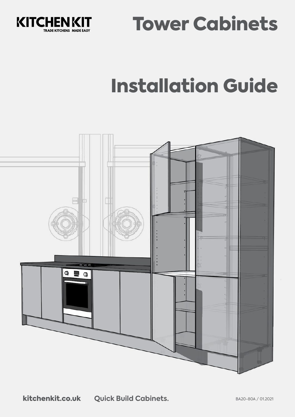



# Installation Guide

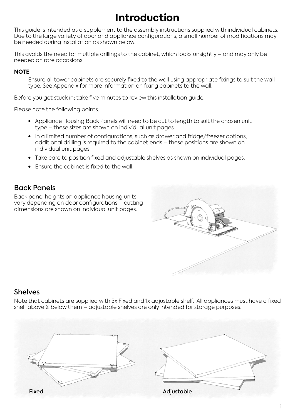## **Introduction**

This guide is intended as a supplement to the assembly instructions supplied with individual cabinets. Due to the large variety of door and appliance configurations, a small number of modifications may be needed during installation as shown below.

This avoids the need for multiple drillings to the cabinet, which looks unsightly – and may only be needed on rare occasions.

#### **NOTE**

Ensure all tower cabinets are securely fixed to the wall using appropriate fixings to suit the wall type. See Appendix for more information on fixing cabinets to the wall.

Before you get stuck in; take five minutes to review this installation guide.

Please note the following points:

- Appliance Housing Back Panels will need to be cut to length to suit the chosen unit type – these sizes are shown on individual unit pages.
- In a limited number of configurations, such as drawer and fridge/freezer options, additional drilling is required to the cabinet ends – these positions are shown on individual unit pages.
- Take care to position fixed and adjustable shelves as shown on individual pages.
- Ensure the cabinet is fixed to the wall.

#### Back Panels

Back panel heights on appliance housing units vary depending on door configurations – cutting dimensions are shown on individual unit pages.



#### **Shelves**

Note that cabinets are supplied with 3x Fixed and 1x adjustable shelf. All appliances must have a fixed shelf above & below them – adjustable shelves are only intended for storage purposes.

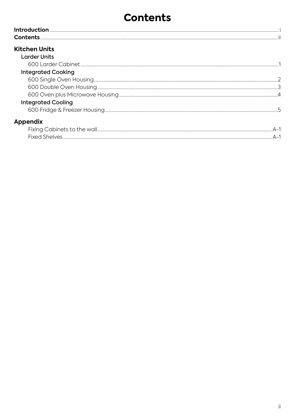#### **Contents**

| <b>Contents</b>           |  |
|---------------------------|--|
| <b>Kitchen Units</b>      |  |
| <b>Larder Units</b>       |  |
|                           |  |
| <b>Integrated Cooking</b> |  |
|                           |  |
|                           |  |
|                           |  |
| <b>Integrated Cooling</b> |  |
|                           |  |
| Appendix                  |  |
|                           |  |
|                           |  |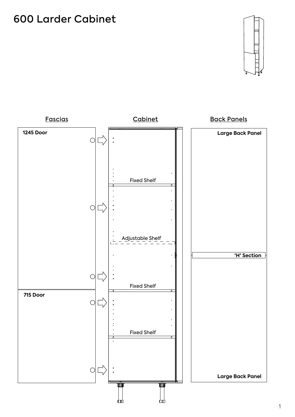#### 600 Larder Cabinet



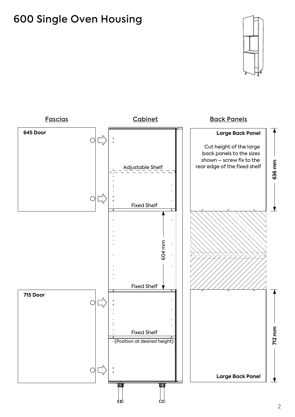### 600 Single Oven Housing



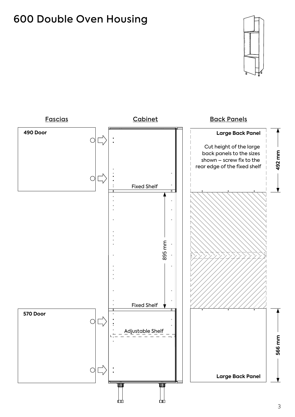#### 600 Double Oven Housing



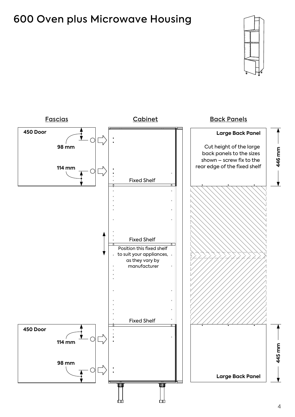#### 600 Oven plus Microwave Housing



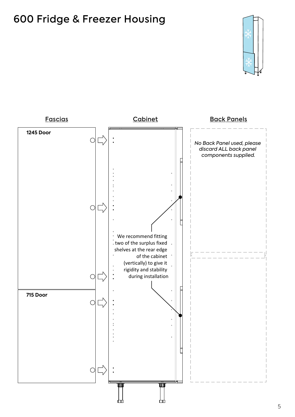### 600 Fridge & Freezer Housing